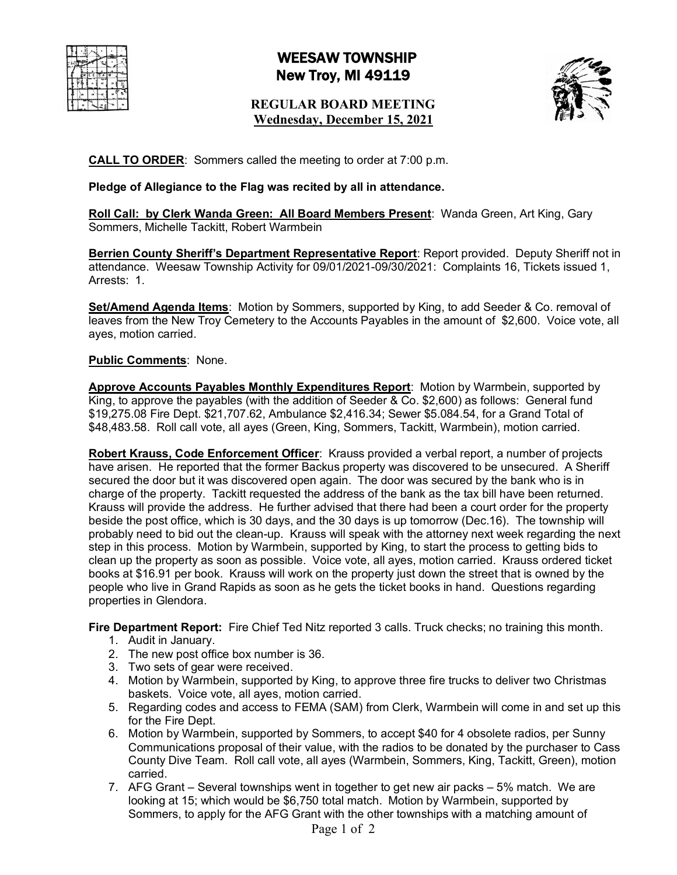# WEESAW TOWNSHIP New Troy, MI 49119

# **REGULAR BOARD MEETING Wednesday, December 15, 2021**



**CALL TO ORDER**: Sommers called the meeting to order at 7:00 p.m.

## **Pledge of Allegiance to the Flag was recited by all in attendance.**

**Roll Call: by Clerk Wanda Green: All Board Members Present**: Wanda Green, Art King, Gary Sommers, Michelle Tackitt, Robert Warmbein

**Berrien County Sheriff's Department Representative Report**: Report provided. Deputy Sheriff not in attendance. Weesaw Township Activity for 09/01/2021-09/30/2021: Complaints 16, Tickets issued 1, Arrests: 1.

**Set/Amend Agenda Items:** Motion by Sommers, supported by King, to add Seeder & Co. removal of leaves from the New Troy Cemetery to the Accounts Payables in the amount of \$2,600. Voice vote, all ayes, motion carried.

### **Public Comments**: None.

**Approve Accounts Payables Monthly Expenditures Report**: Motion by Warmbein, supported by King, to approve the payables (with the addition of Seeder & Co. \$2,600) as follows: General fund \$19,275.08 Fire Dept. \$21,707.62, Ambulance \$2,416.34; Sewer \$5.084.54, for a Grand Total of \$48,483.58. Roll call vote, all ayes (Green, King, Sommers, Tackitt, Warmbein), motion carried.

**Robert Krauss, Code Enforcement Officer**: Krauss provided a verbal report, a number of projects have arisen. He reported that the former Backus property was discovered to be unsecured. A Sheriff secured the door but it was discovered open again. The door was secured by the bank who is in charge of the property. Tackitt requested the address of the bank as the tax bill have been returned. Krauss will provide the address. He further advised that there had been a court order for the property beside the post office, which is 30 days, and the 30 days is up tomorrow (Dec.16). The township will probably need to bid out the clean-up. Krauss will speak with the attorney next week regarding the next step in this process. Motion by Warmbein, supported by King, to start the process to getting bids to clean up the property as soon as possible. Voice vote, all ayes, motion carried. Krauss ordered ticket books at \$16.91 per book. Krauss will work on the property just down the street that is owned by the people who live in Grand Rapids as soon as he gets the ticket books in hand. Questions regarding properties in Glendora.

**Fire Department Report:** Fire Chief Ted Nitz reported 3 calls. Truck checks; no training this month.

- 1. Audit in January.
- 2. The new post office box number is 36.
- 3. Two sets of gear were received.
- 4. Motion by Warmbein, supported by King, to approve three fire trucks to deliver two Christmas baskets. Voice vote, all ayes, motion carried.
- 5. Regarding codes and access to FEMA (SAM) from Clerk, Warmbein will come in and set up this for the Fire Dept.
- 6. Motion by Warmbein, supported by Sommers, to accept \$40 for 4 obsolete radios, per Sunny Communications proposal of their value, with the radios to be donated by the purchaser to Cass County Dive Team. Roll call vote, all ayes (Warmbein, Sommers, King, Tackitt, Green), motion carried.
- 7. AFG Grant Several townships went in together to get new air packs 5% match. We are looking at 15; which would be \$6,750 total match. Motion by Warmbein, supported by Sommers, to apply for the AFG Grant with the other townships with a matching amount of